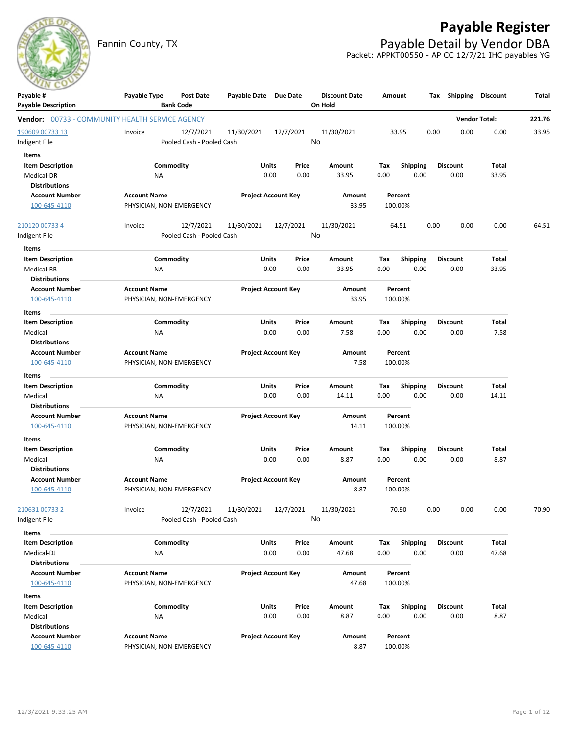# **Payable Register**

Fannin County, TX **Payable Detail by Vendor DBA** Packet: APPKT00550 - AP CC 12/7/21 IHC payables YG



| Payable #                                              | Payable Type             | <b>Post Date</b>                       | Payable Date Due Date      |               |               | <b>Discount Date</b> | Amount      |                         | Tax  | Shipping                | <b>Discount</b>      | Total  |
|--------------------------------------------------------|--------------------------|----------------------------------------|----------------------------|---------------|---------------|----------------------|-------------|-------------------------|------|-------------------------|----------------------|--------|
| <b>Payable Description</b>                             |                          | <b>Bank Code</b>                       |                            |               |               | On Hold              |             |                         |      |                         |                      |        |
| <b>Vendor:</b> 00733 - COMMUNITY HEALTH SERVICE AGENCY |                          |                                        |                            |               |               |                      |             |                         |      |                         | <b>Vendor Total:</b> | 221.76 |
| 190609 00733 13                                        | Invoice                  | 12/7/2021                              | 11/30/2021                 |               | 12/7/2021     | 11/30/2021           |             | 33.95                   | 0.00 | 0.00                    | 0.00                 | 33.95  |
| Indigent File                                          |                          | Pooled Cash - Pooled Cash              |                            |               |               | No                   |             |                         |      |                         |                      |        |
| Items                                                  |                          |                                        |                            |               |               |                      |             |                         |      |                         |                      |        |
| <b>Item Description</b>                                |                          | Commodity                              |                            | Units         | Price         | Amount               | Tax         | <b>Shipping</b>         |      | <b>Discount</b>         | Total                |        |
| Medical-DR                                             | NA                       |                                        |                            | 0.00          | 0.00          | 33.95                | 0.00        | 0.00                    |      | 0.00                    | 33.95                |        |
| <b>Distributions</b>                                   |                          |                                        |                            |               |               |                      |             |                         |      |                         |                      |        |
| <b>Account Number</b>                                  | <b>Account Name</b>      |                                        | <b>Project Account Key</b> |               |               | Amount               |             | Percent                 |      |                         |                      |        |
| 100-645-4110                                           | PHYSICIAN, NON-EMERGENCY |                                        |                            |               |               | 33.95                |             | 100.00%                 |      |                         |                      |        |
| 210120 00733 4                                         | Invoice                  | 12/7/2021                              | 11/30/2021                 |               | 12/7/2021     | 11/30/2021           |             | 64.51                   | 0.00 | 0.00                    | 0.00                 | 64.51  |
| Indigent File                                          |                          | Pooled Cash - Pooled Cash              |                            |               |               | No                   |             |                         |      |                         |                      |        |
| Items                                                  |                          |                                        |                            |               |               |                      |             |                         |      |                         |                      |        |
| <b>Item Description</b>                                |                          | Commodity                              |                            | Units         | Price         | Amount               | Tax         | <b>Shipping</b>         |      | <b>Discount</b>         | Total                |        |
| Medical-RB                                             | NA                       |                                        |                            | 0.00          | 0.00          | 33.95                | 0.00        | 0.00                    |      | 0.00                    | 33.95                |        |
| <b>Distributions</b>                                   |                          |                                        |                            |               |               |                      |             |                         |      |                         |                      |        |
| <b>Account Number</b>                                  | <b>Account Name</b>      |                                        | <b>Project Account Key</b> |               |               | Amount               |             | Percent                 |      |                         |                      |        |
| 100-645-4110                                           | PHYSICIAN, NON-EMERGENCY |                                        |                            |               |               | 33.95                |             | 100.00%                 |      |                         |                      |        |
| Items                                                  |                          |                                        |                            |               |               |                      |             |                         |      |                         |                      |        |
| <b>Item Description</b>                                |                          | Commodity                              |                            | Units         | Price         | Amount               | Tax         | <b>Shipping</b>         |      | <b>Discount</b>         | Total                |        |
| Medical                                                | NA                       |                                        |                            | 0.00          | 0.00          | 7.58                 | 0.00        | 0.00                    |      | 0.00                    | 7.58                 |        |
| <b>Distributions</b>                                   |                          |                                        |                            |               |               |                      |             |                         |      |                         |                      |        |
| <b>Account Number</b>                                  | <b>Account Name</b>      |                                        | <b>Project Account Key</b> |               |               | Amount               |             | Percent                 |      |                         |                      |        |
| 100-645-4110                                           | PHYSICIAN, NON-EMERGENCY |                                        |                            |               |               | 7.58                 |             | 100.00%                 |      |                         |                      |        |
| Items                                                  |                          |                                        |                            |               |               |                      |             |                         |      |                         |                      |        |
| <b>Item Description</b>                                |                          | Commodity                              |                            | Units         | Price         | Amount               | Tax         | <b>Shipping</b>         |      | <b>Discount</b>         | Total                |        |
| Medical                                                | ΝA                       |                                        |                            | 0.00          | 0.00          | 14.11                | 0.00        | 0.00                    |      | 0.00                    | 14.11                |        |
| <b>Distributions</b>                                   |                          |                                        |                            |               |               |                      |             |                         |      |                         |                      |        |
| <b>Account Number</b>                                  | <b>Account Name</b>      |                                        | <b>Project Account Key</b> |               |               | Amount               |             | Percent                 |      |                         |                      |        |
| 100-645-4110                                           | PHYSICIAN, NON-EMERGENCY |                                        |                            |               |               | 14.11                |             | 100.00%                 |      |                         |                      |        |
| Items                                                  |                          |                                        |                            |               |               |                      |             |                         |      |                         |                      |        |
| <b>Item Description</b>                                |                          | Commodity                              |                            | Units         | Price         | Amount               | Tax         | <b>Shipping</b>         |      | <b>Discount</b>         | Total                |        |
| Medical                                                | <b>NA</b>                |                                        |                            | 0.00          | 0.00          | 8.87                 | 0.00        | 0.00                    |      | 0.00                    | 8.87                 |        |
| <b>Distributions</b>                                   |                          |                                        |                            |               |               |                      |             |                         |      |                         |                      |        |
| <b>Account Number</b>                                  | <b>Account Name</b>      |                                        | <b>Project Account Key</b> |               |               | Amount               |             | Percent                 |      |                         |                      |        |
| 100-645-4110                                           | PHYSICIAN, NON-EMERGENCY |                                        |                            |               |               | 8.87                 |             | 100.00%                 |      |                         |                      |        |
| 210631 00733 2                                         | Invoice                  |                                        | 11/30/2021                 |               | 12/7/2021     | 11/30/2021           |             | 70.90                   | 0.00 | 0.00                    | 0.00                 |        |
| Indigent File                                          |                          | 12/7/2021<br>Pooled Cash - Pooled Cash |                            |               |               | No                   |             |                         |      |                         |                      | 70.90  |
|                                                        |                          |                                        |                            |               |               |                      |             |                         |      |                         |                      |        |
| Items                                                  |                          |                                        |                            |               |               |                      |             |                         |      |                         |                      |        |
| <b>Item Description</b><br>Medical-DJ                  |                          | Commodity                              |                            | Units         | Price         | Amount<br>47.68      | Тах         | <b>Shipping</b>         |      | <b>Discount</b>         | Total                |        |
| <b>Distributions</b>                                   | NA                       |                                        |                            | 0.00          | 0.00          |                      | 0.00        | 0.00                    |      | 0.00                    | 47.68                |        |
| <b>Account Number</b>                                  | <b>Account Name</b>      |                                        | <b>Project Account Key</b> |               |               | Amount               |             | Percent                 |      |                         |                      |        |
| 100-645-4110                                           | PHYSICIAN, NON-EMERGENCY |                                        |                            |               |               | 47.68                |             | 100.00%                 |      |                         |                      |        |
|                                                        |                          |                                        |                            |               |               |                      |             |                         |      |                         |                      |        |
| Items                                                  |                          |                                        |                            |               |               |                      |             |                         |      |                         |                      |        |
| <b>Item Description</b><br>Medical                     |                          | Commodity                              |                            | Units<br>0.00 | Price<br>0.00 | Amount<br>8.87       | Tax<br>0.00 | <b>Shipping</b><br>0.00 |      | <b>Discount</b><br>0.00 | Total<br>8.87        |        |
| <b>Distributions</b>                                   | NA                       |                                        |                            |               |               |                      |             |                         |      |                         |                      |        |
| <b>Account Number</b>                                  | <b>Account Name</b>      |                                        | <b>Project Account Key</b> |               |               | Amount               |             | Percent                 |      |                         |                      |        |
| 100-645-4110                                           | PHYSICIAN, NON-EMERGENCY |                                        |                            |               |               | 8.87                 |             | 100.00%                 |      |                         |                      |        |
|                                                        |                          |                                        |                            |               |               |                      |             |                         |      |                         |                      |        |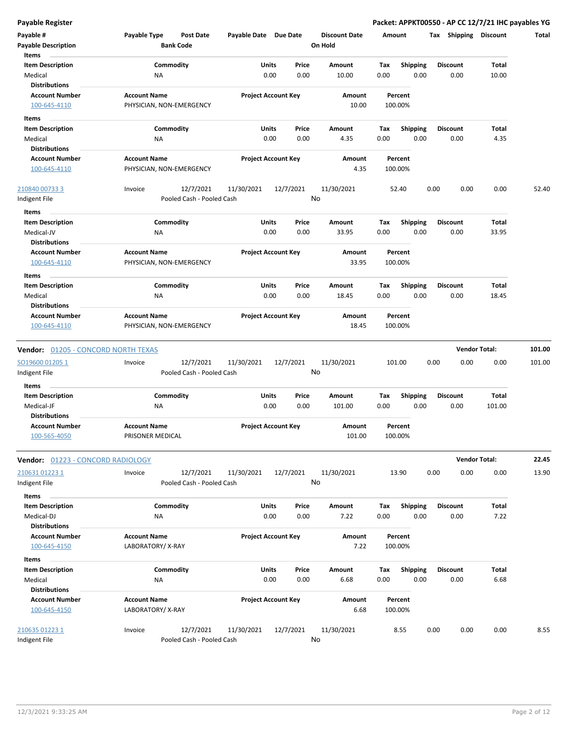| Payable #<br><b>Payable Description</b>                                | Payable Type                                    | <b>Post Date</b><br><b>Bank Code</b>   | Payable Date Due Date |                                | <b>Discount Date</b><br>On Hold | Amount      |                         | <b>Shipping</b><br>Tax  | <b>Discount</b>      | Total  |
|------------------------------------------------------------------------|-------------------------------------------------|----------------------------------------|-----------------------|--------------------------------|---------------------------------|-------------|-------------------------|-------------------------|----------------------|--------|
| Items<br><b>Item Description</b><br>Medical<br><b>Distributions</b>    | Commodity<br>ΝA                                 |                                        |                       | Units<br>Price<br>0.00<br>0.00 | Amount<br>10.00                 | Tax<br>0.00 | <b>Shipping</b><br>0.00 | <b>Discount</b><br>0.00 | Total<br>10.00       |        |
| <b>Account Number</b><br>100-645-4110                                  | <b>Account Name</b><br>PHYSICIAN, NON-EMERGENCY |                                        |                       | <b>Project Account Key</b>     | Amount<br>10.00                 | 100.00%     | Percent                 |                         |                      |        |
| Items<br><b>Item Description</b>                                       | Commodity                                       |                                        |                       | Units<br>Price                 | Amount                          | Tax         | <b>Shipping</b>         | Discount                | Total                |        |
| Medical                                                                | ΝA                                              |                                        |                       | 0.00<br>0.00                   | 4.35                            | 0.00        | 0.00                    | 0.00                    | 4.35                 |        |
| <b>Distributions</b><br><b>Account Number</b>                          | <b>Account Name</b>                             |                                        |                       | <b>Project Account Key</b>     | Amount                          |             | Percent                 |                         |                      |        |
| 100-645-4110                                                           | PHYSICIAN, NON-EMERGENCY                        |                                        |                       |                                | 4.35                            | 100.00%     |                         |                         |                      |        |
| 210840 00733 3<br>Indigent File                                        | Invoice                                         | 12/7/2021<br>Pooled Cash - Pooled Cash | 11/30/2021            | 12/7/2021                      | 11/30/2021<br>No                |             | 52.40                   | 0.00<br>0.00            | 0.00                 | 52.40  |
| Items<br><b>Item Description</b><br>Medical-JV<br><b>Distributions</b> | Commodity<br><b>NA</b>                          |                                        |                       | Units<br>Price<br>0.00<br>0.00 | Amount<br>33.95                 | Tax<br>0.00 | Shipping<br>0.00        | <b>Discount</b><br>0.00 | Total<br>33.95       |        |
| <b>Account Number</b><br>100-645-4110                                  | <b>Account Name</b><br>PHYSICIAN, NON-EMERGENCY |                                        |                       | <b>Project Account Key</b>     | Amount<br>33.95                 | 100.00%     | Percent                 |                         |                      |        |
| Items<br><b>Item Description</b><br>Medical<br><b>Distributions</b>    | Commodity<br><b>NA</b>                          |                                        |                       | Units<br>Price<br>0.00<br>0.00 | Amount<br>18.45                 | Tax<br>0.00 | <b>Shipping</b><br>0.00 | <b>Discount</b><br>0.00 | Total<br>18.45       |        |
| <b>Account Number</b><br>100-645-4110                                  | <b>Account Name</b><br>PHYSICIAN, NON-EMERGENCY |                                        |                       | <b>Project Account Key</b>     | Amount<br>18.45                 | 100.00%     | Percent                 |                         |                      |        |
| <b>Vendor:</b> 01205 - CONCORD NORTH TEXAS                             |                                                 |                                        |                       |                                |                                 |             |                         |                         | <b>Vendor Total:</b> | 101.00 |
| SO19600 012051<br>Indigent File                                        | Invoice                                         | 12/7/2021<br>Pooled Cash - Pooled Cash | 11/30/2021            | 12/7/2021                      | 11/30/2021<br>No                | 101.00      |                         | 0.00<br>0.00            | 0.00                 | 101.00 |
| Items                                                                  |                                                 |                                        |                       |                                |                                 |             |                         |                         |                      |        |
| <b>Item Description</b><br>Medical-JF<br><b>Distributions</b>          | Commodity<br>ΝA                                 |                                        |                       | Units<br>Price<br>0.00<br>0.00 | Amount<br>101.00                | Tax<br>0.00 | <b>Shipping</b><br>0.00 | <b>Discount</b><br>0.00 | Total<br>101.00      |        |
| <b>Account Number</b><br>100-565-4050                                  | <b>Account Name</b><br>PRISONER MEDICAL         |                                        |                       | <b>Project Account Key</b>     | Amount<br>101.00                | 100.00%     | Percent                 |                         |                      |        |
| Vendor: 01223 - CONCORD RADIOLOGY                                      |                                                 |                                        |                       |                                |                                 |             |                         |                         | <b>Vendor Total:</b> | 22.45  |
| 210631 01223 1<br>Indigent File                                        | Invoice                                         | 12/7/2021<br>Pooled Cash - Pooled Cash | 11/30/2021            | 12/7/2021                      | 11/30/2021<br>No                |             | 13.90                   | 0.00<br>0.00            | 0.00                 | 13.90  |
| Items<br><b>Item Description</b><br>Medical-DJ<br><b>Distributions</b> | Commodity<br>ΝA                                 |                                        |                       | Units<br>Price<br>0.00<br>0.00 | Amount<br>7.22                  | Tax<br>0.00 | <b>Shipping</b><br>0.00 | <b>Discount</b><br>0.00 | Total<br>7.22        |        |
| <b>Account Number</b><br>100-645-4150                                  | <b>Account Name</b><br>LABORATORY/X-RAY         |                                        |                       | <b>Project Account Key</b>     | Amount<br>7.22                  | 100.00%     | Percent                 |                         |                      |        |
| Items<br><b>Item Description</b><br>Medical<br><b>Distributions</b>    | Commodity<br>ΝA                                 |                                        |                       | Units<br>Price<br>0.00<br>0.00 | Amount<br>6.68                  | Tax<br>0.00 | Shipping<br>0.00        | <b>Discount</b><br>0.00 | Total<br>6.68        |        |
| <b>Account Number</b><br>100-645-4150                                  | <b>Account Name</b><br>LABORATORY/X-RAY         |                                        |                       | <b>Project Account Key</b>     | Amount<br>6.68                  | 100.00%     | Percent                 |                         |                      |        |
| 210635 01223 1<br>Indigent File                                        | Invoice                                         | 12/7/2021<br>Pooled Cash - Pooled Cash | 11/30/2021            | 12/7/2021                      | 11/30/2021<br>No                |             | 8.55                    | 0.00<br>0.00            | 0.00                 | 8.55   |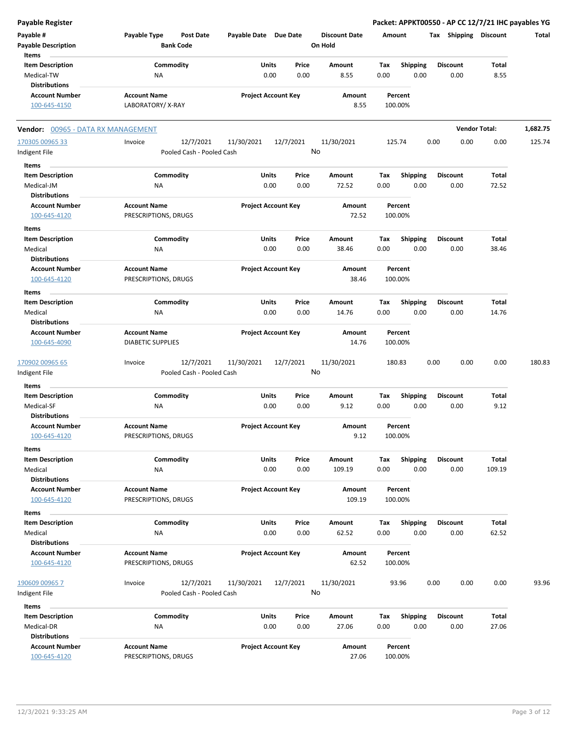| <b>Payable Register</b>                 |                                                      |                            |           |                                 |                    |                 | Packet: APPKT00550 - AP CC 12/7/21 IHC payables YG |                      |          |
|-----------------------------------------|------------------------------------------------------|----------------------------|-----------|---------------------------------|--------------------|-----------------|----------------------------------------------------|----------------------|----------|
| Payable #<br><b>Payable Description</b> | Payable Type<br><b>Post Date</b><br><b>Bank Code</b> | Payable Date Due Date      |           | <b>Discount Date</b><br>On Hold | Amount             |                 | Tax Shipping Discount                              |                      | Total    |
| Items                                   |                                                      |                            |           |                                 |                    |                 |                                                    |                      |          |
| <b>Item Description</b>                 | Commodity                                            | Units                      | Price     | Amount                          | Tax                | <b>Shipping</b> | <b>Discount</b>                                    | Total                |          |
| Medical-TW<br><b>Distributions</b>      | ΝA                                                   | 0.00                       | 0.00      | 8.55                            | 0.00               | 0.00            | 0.00                                               | 8.55                 |          |
| <b>Account Number</b><br>100-645-4150   | <b>Account Name</b><br>LABORATORY/X-RAY              | <b>Project Account Key</b> |           | Amount<br>8.55                  | Percent<br>100.00% |                 |                                                    |                      |          |
| Vendor: 00965 - DATA RX MANAGEMENT      |                                                      |                            |           |                                 |                    |                 |                                                    | <b>Vendor Total:</b> | 1,682.75 |
| 170305 00965 33                         | 12/7/2021<br>Invoice                                 | 11/30/2021                 | 12/7/2021 | 11/30/2021                      | 125.74             |                 | 0.00<br>0.00                                       | 0.00                 | 125.74   |
| Indigent File                           | Pooled Cash - Pooled Cash                            |                            |           | No                              |                    |                 |                                                    |                      |          |
| Items                                   |                                                      |                            |           |                                 |                    |                 |                                                    |                      |          |
| <b>Item Description</b>                 | Commodity                                            | Units                      | Price     | Amount                          | Tax                | <b>Shipping</b> | <b>Discount</b>                                    | Total                |          |
| Medical-JM                              | ΝA                                                   | 0.00                       | 0.00      | 72.52                           | 0.00               | 0.00            | 0.00                                               | 72.52                |          |
| <b>Distributions</b>                    |                                                      |                            |           |                                 |                    |                 |                                                    |                      |          |
| <b>Account Number</b>                   | <b>Account Name</b>                                  | <b>Project Account Key</b> |           | Amount                          | Percent            |                 |                                                    |                      |          |
| 100-645-4120                            | PRESCRIPTIONS, DRUGS                                 |                            |           | 72.52                           | 100.00%            |                 |                                                    |                      |          |
| Items                                   |                                                      |                            |           |                                 |                    |                 |                                                    |                      |          |
| <b>Item Description</b>                 | Commodity                                            | Units                      | Price     | Amount                          | Tax                | <b>Shipping</b> | <b>Discount</b>                                    | Total                |          |
| Medical                                 | ΝA                                                   | 0.00                       | 0.00      | 38.46                           | 0.00               | 0.00            | 0.00                                               | 38.46                |          |
| <b>Distributions</b>                    |                                                      |                            |           |                                 |                    |                 |                                                    |                      |          |
| <b>Account Number</b>                   | <b>Account Name</b>                                  | <b>Project Account Key</b> |           | Amount                          | Percent            |                 |                                                    |                      |          |
| 100-645-4120                            | PRESCRIPTIONS, DRUGS                                 |                            |           | 38.46                           | 100.00%            |                 |                                                    |                      |          |
| Items                                   |                                                      |                            |           |                                 |                    |                 |                                                    |                      |          |
| <b>Item Description</b>                 | Commodity                                            | Units                      | Price     | Amount                          | Tax                | <b>Shipping</b> | <b>Discount</b>                                    | Total                |          |
| Medical                                 | ΝA                                                   | 0.00                       | 0.00      | 14.76                           | 0.00               | 0.00            | 0.00                                               | 14.76                |          |
| <b>Distributions</b>                    |                                                      |                            |           |                                 |                    |                 |                                                    |                      |          |
| <b>Account Number</b><br>100-645-4090   | <b>Account Name</b><br><b>DIABETIC SUPPLIES</b>      | <b>Project Account Key</b> |           | Amount<br>14.76                 | Percent<br>100.00% |                 |                                                    |                      |          |
| 170902 00965 65                         | 12/7/2021<br>Invoice                                 | 11/30/2021                 | 12/7/2021 | 11/30/2021                      | 180.83             |                 | 0.00<br>0.00                                       | 0.00                 | 180.83   |
| Indigent File                           | Pooled Cash - Pooled Cash                            |                            |           | No                              |                    |                 |                                                    |                      |          |
| Items                                   |                                                      |                            |           |                                 |                    |                 |                                                    |                      |          |
| <b>Item Description</b>                 | Commodity                                            | Units                      | Price     | Amount                          | Tax                | <b>Shipping</b> | <b>Discount</b>                                    | Total                |          |
| Medical-SF                              | ΝA                                                   | 0.00                       | 0.00      | 9.12                            | 0.00               | 0.00            | 0.00                                               | 9.12                 |          |
| <b>Distributions</b>                    |                                                      |                            |           |                                 |                    |                 |                                                    |                      |          |
| <b>Account Number</b><br>100-645-4120   | <b>Account Name</b><br>PRESCRIPTIONS, DRUGS          | <b>Project Account Key</b> |           | Amount<br>9.12                  | Percent<br>100.00% |                 |                                                    |                      |          |
| Items                                   |                                                      |                            |           |                                 |                    |                 |                                                    |                      |          |
| <b>Item Description</b>                 | Commodity                                            | Units                      | Price     | Amount                          | Tax                | Shipping        | <b>Discount</b>                                    | Total                |          |
| Medical<br><b>Distributions</b>         | ΝA                                                   | 0.00                       | 0.00      | 109.19                          | 0.00               | 0.00            | 0.00                                               | 109.19               |          |
| <b>Account Number</b>                   | <b>Account Name</b>                                  | <b>Project Account Key</b> |           | Amount                          | Percent            |                 |                                                    |                      |          |
| 100-645-4120                            | PRESCRIPTIONS, DRUGS                                 |                            |           | 109.19                          | 100.00%            |                 |                                                    |                      |          |
| Items                                   |                                                      |                            |           |                                 |                    |                 |                                                    |                      |          |
| <b>Item Description</b>                 | Commodity                                            | Units                      | Price     | Amount                          | Tax                | <b>Shipping</b> | <b>Discount</b>                                    | Total                |          |
| Medical                                 | NA                                                   | 0.00                       | 0.00      | 62.52                           | 0.00               | 0.00            | 0.00                                               | 62.52                |          |
| <b>Distributions</b>                    |                                                      |                            |           |                                 |                    |                 |                                                    |                      |          |
| <b>Account Number</b>                   | <b>Account Name</b>                                  | <b>Project Account Key</b> |           | Amount                          | Percent            |                 |                                                    |                      |          |
| 100-645-4120                            | PRESCRIPTIONS, DRUGS                                 |                            |           | 62.52                           | 100.00%            |                 |                                                    |                      |          |
| 190609 00965 7                          | Invoice<br>12/7/2021                                 | 11/30/2021                 | 12/7/2021 | 11/30/2021                      | 93.96              |                 | 0.00<br>0.00                                       | 0.00                 | 93.96    |
| Indigent File                           | Pooled Cash - Pooled Cash                            |                            |           | No                              |                    |                 |                                                    |                      |          |
| Items                                   |                                                      |                            |           |                                 |                    |                 |                                                    |                      |          |
| <b>Item Description</b>                 | Commodity                                            | Units                      | Price     | Amount                          | Tax                | <b>Shipping</b> | <b>Discount</b>                                    | Total                |          |
| Medical-DR                              | NA                                                   | 0.00                       | 0.00      | 27.06                           | 0.00               | 0.00            | 0.00                                               | 27.06                |          |
| <b>Distributions</b>                    |                                                      |                            |           |                                 |                    |                 |                                                    |                      |          |
| <b>Account Number</b>                   | <b>Account Name</b>                                  | <b>Project Account Key</b> |           | Amount                          | Percent            |                 |                                                    |                      |          |
| 100-645-4120                            | PRESCRIPTIONS, DRUGS                                 |                            |           | 27.06                           | 100.00%            |                 |                                                    |                      |          |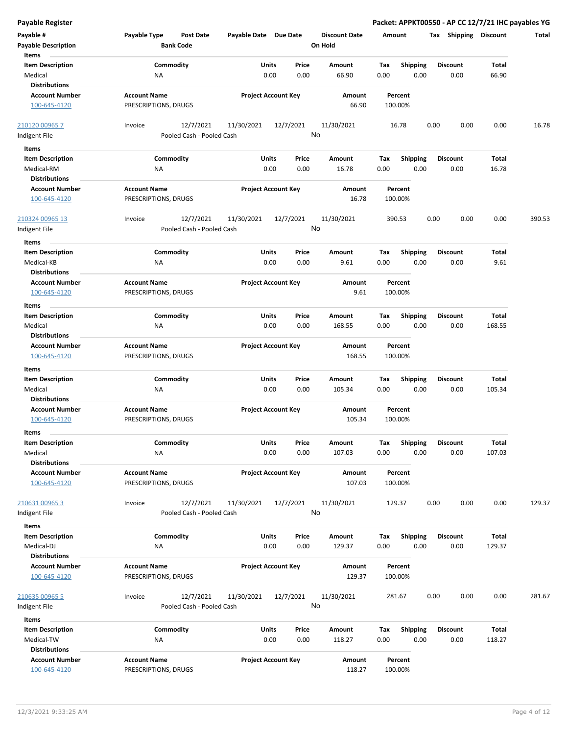| Payable #<br><b>Payable Description</b> | Payable Type<br><b>Bank Code</b>            | Post Date                 | Payable Date Due Date |                            | <b>Discount Date</b><br>On Hold | Amount |                    | <b>Shipping</b><br>Tax | <b>Discount</b> | Total  |
|-----------------------------------------|---------------------------------------------|---------------------------|-----------------------|----------------------------|---------------------------------|--------|--------------------|------------------------|-----------------|--------|
| Items                                   |                                             |                           |                       |                            |                                 |        |                    |                        |                 |        |
| <b>Item Description</b>                 | Commodity                                   |                           | Units                 | Price                      | Amount                          | Tax    | <b>Shipping</b>    | <b>Discount</b>        | Total           |        |
| Medical                                 | <b>NA</b>                                   |                           | 0.00                  | 0.00                       | 66.90                           | 0.00   | 0.00               | 0.00                   | 66.90           |        |
| <b>Distributions</b>                    |                                             |                           |                       |                            |                                 |        |                    |                        |                 |        |
| <b>Account Number</b>                   | <b>Account Name</b>                         |                           |                       | <b>Project Account Key</b> | Amount                          |        | Percent            |                        |                 |        |
| 100-645-4120                            | PRESCRIPTIONS, DRUGS                        |                           |                       |                            | 66.90                           |        | 100.00%            |                        |                 |        |
| 210120 00965 7                          | Invoice                                     | 12/7/2021                 | 11/30/2021            | 12/7/2021                  | 11/30/2021                      |        | 16.78              | 0.00<br>0.00           | 0.00            | 16.78  |
| Indigent File                           |                                             | Pooled Cash - Pooled Cash |                       |                            | No                              |        |                    |                        |                 |        |
| Items                                   |                                             |                           |                       |                            |                                 |        |                    |                        |                 |        |
| <b>Item Description</b>                 | Commodity                                   |                           | Units                 | Price                      | Amount                          | Tax    | <b>Shipping</b>    | <b>Discount</b>        | Total           |        |
| Medical-RM                              | ΝA                                          |                           | 0.00                  | 0.00                       | 16.78                           | 0.00   | 0.00               | 0.00                   | 16.78           |        |
| <b>Distributions</b>                    |                                             |                           |                       |                            |                                 |        |                    |                        |                 |        |
| <b>Account Number</b><br>100-645-4120   | <b>Account Name</b><br>PRESCRIPTIONS, DRUGS |                           |                       | <b>Project Account Key</b> | Amount<br>16.78                 |        | Percent<br>100.00% |                        |                 |        |
| 210324 00965 13                         | Invoice                                     | 12/7/2021                 | 11/30/2021            | 12/7/2021                  | 11/30/2021                      |        | 390.53             | 0.00<br>0.00           | 0.00            | 390.53 |
| Indigent File                           |                                             | Pooled Cash - Pooled Cash |                       |                            | No                              |        |                    |                        |                 |        |
| Items                                   |                                             |                           |                       |                            |                                 |        |                    |                        |                 |        |
| <b>Item Description</b>                 | Commodity                                   |                           | Units                 | Price                      | Amount                          | Tax    | <b>Shipping</b>    | <b>Discount</b>        | Total           |        |
| Medical-KB                              | ΝA                                          |                           | 0.00                  | 0.00                       | 9.61                            | 0.00   | 0.00               | 0.00                   | 9.61            |        |
| <b>Distributions</b>                    |                                             |                           |                       |                            |                                 |        |                    |                        |                 |        |
| <b>Account Number</b>                   | <b>Account Name</b>                         |                           |                       | <b>Project Account Key</b> | Amount                          |        | Percent            |                        |                 |        |
| 100-645-4120                            | PRESCRIPTIONS, DRUGS                        |                           |                       |                            | 9.61                            |        | 100.00%            |                        |                 |        |
| Items                                   |                                             |                           |                       |                            |                                 |        |                    |                        |                 |        |
| <b>Item Description</b>                 | Commodity                                   |                           | Units                 | Price                      | Amount                          | Tax    | <b>Shipping</b>    | <b>Discount</b>        | Total           |        |
| Medical                                 | <b>NA</b>                                   |                           | 0.00                  | 0.00                       | 168.55                          | 0.00   | 0.00               | 0.00                   | 168.55          |        |
| Distributions                           |                                             |                           |                       |                            |                                 |        |                    |                        |                 |        |
| <b>Account Number</b><br>100-645-4120   | <b>Account Name</b><br>PRESCRIPTIONS, DRUGS |                           |                       | <b>Project Account Key</b> | Amount<br>168.55                |        | Percent<br>100.00% |                        |                 |        |
| Items                                   |                                             |                           |                       |                            |                                 |        |                    |                        |                 |        |
| <b>Item Description</b>                 | Commodity                                   |                           | Units                 | Price                      | Amount                          | Тах    | <b>Shipping</b>    | <b>Discount</b>        | Total           |        |
| Medical                                 | ΝA                                          |                           | 0.00                  | 0.00                       | 105.34                          | 0.00   | 0.00               | 0.00                   | 105.34          |        |
| <b>Distributions</b>                    |                                             |                           |                       |                            |                                 |        |                    |                        |                 |        |
| <b>Account Number</b>                   | <b>Account Name</b>                         |                           |                       | <b>Project Account Key</b> | Amount                          |        | Percent            |                        |                 |        |
| 100-645-4120                            | PRESCRIPTIONS, DRUGS                        |                           |                       |                            | 105.34                          |        | 100.00%            |                        |                 |        |
| Items                                   |                                             |                           |                       |                            |                                 |        |                    |                        |                 |        |
| Item Description                        | Commodity                                   |                           | Units                 | Price                      | Amount                          | Тах    | Shipping           | <b>Discount</b>        | Total           |        |
| Medical                                 | NA                                          |                           | 0.00                  | 0.00                       | 107.03                          | 0.00   | 0.00               | 0.00                   | 107.03          |        |
| <b>Distributions</b>                    |                                             |                           |                       |                            |                                 |        |                    |                        |                 |        |
| <b>Account Number</b>                   | <b>Account Name</b>                         |                           |                       | <b>Project Account Key</b> | Amount                          |        | Percent            |                        |                 |        |
| 100-645-4120                            | PRESCRIPTIONS, DRUGS                        |                           |                       |                            | 107.03                          |        | 100.00%            |                        |                 |        |
| 210631 00965 3                          | Invoice                                     | 12/7/2021                 | 11/30/2021            | 12/7/2021                  | 11/30/2021                      | 129.37 |                    | 0.00<br>0.00           | 0.00            | 129.37 |
| Indigent File                           |                                             | Pooled Cash - Pooled Cash |                       |                            | No                              |        |                    |                        |                 |        |
| Items                                   |                                             |                           |                       |                            |                                 |        |                    |                        |                 |        |
| <b>Item Description</b>                 | Commodity                                   |                           | Units                 | Price                      | Amount                          | Tax    | <b>Shipping</b>    | <b>Discount</b>        | Total           |        |
| Medical-DJ                              | NA                                          |                           | 0.00                  | 0.00                       | 129.37                          | 0.00   | 0.00               | 0.00                   | 129.37          |        |
| <b>Distributions</b>                    |                                             |                           |                       |                            |                                 |        |                    |                        |                 |        |
| <b>Account Number</b>                   | <b>Account Name</b>                         |                           |                       | <b>Project Account Key</b> | Amount                          |        | Percent            |                        |                 |        |
| 100-645-4120                            | PRESCRIPTIONS, DRUGS                        |                           |                       |                            | 129.37                          |        | 100.00%            |                        |                 |        |
| 210635 00965 5                          | Invoice                                     | 12/7/2021                 | 11/30/2021            | 12/7/2021                  | 11/30/2021                      |        | 281.67             | 0.00<br>0.00           | 0.00            | 281.67 |
| Indigent File                           |                                             | Pooled Cash - Pooled Cash |                       |                            | No                              |        |                    |                        |                 |        |
| Items                                   |                                             |                           |                       |                            |                                 |        |                    |                        |                 |        |
| <b>Item Description</b>                 | Commodity                                   |                           | Units                 | Price                      | Amount                          | Tax    | Shipping           | <b>Discount</b>        | Total           |        |
| Medical-TW                              | NA                                          |                           | 0.00                  | 0.00                       | 118.27                          | 0.00   | 0.00               | 0.00                   | 118.27          |        |
| <b>Distributions</b>                    |                                             |                           |                       |                            |                                 |        |                    |                        |                 |        |
| <b>Account Number</b>                   | <b>Account Name</b>                         |                           |                       | <b>Project Account Key</b> | Amount                          |        | Percent            |                        |                 |        |
| 100-645-4120                            | PRESCRIPTIONS, DRUGS                        |                           |                       |                            | 118.27                          |        | 100.00%            |                        |                 |        |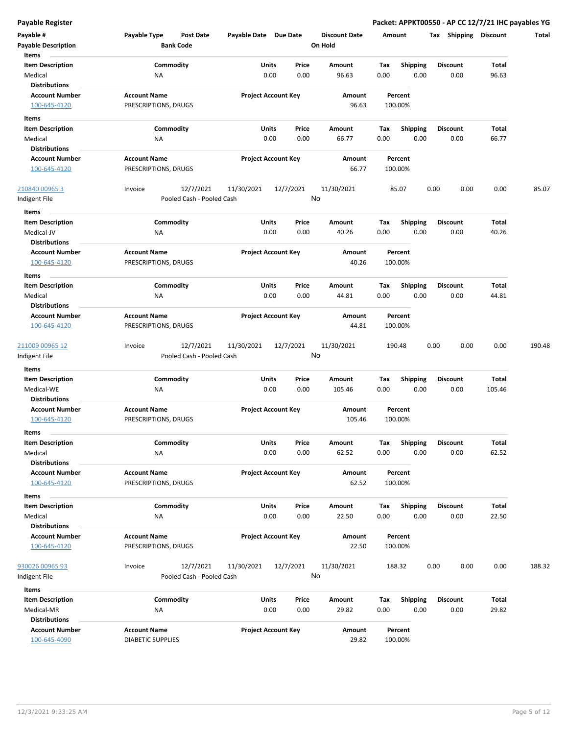| Payable #<br><b>Payable Description</b>       | Payable Type<br><b>Bank Code</b>            | Post Date                              | Payable Date Due Date |                            | <b>Discount Date</b><br>On Hold |      | Amount             | Shipping<br>Tax | <b>Discount</b> | Total  |
|-----------------------------------------------|---------------------------------------------|----------------------------------------|-----------------------|----------------------------|---------------------------------|------|--------------------|-----------------|-----------------|--------|
| Items                                         |                                             |                                        |                       |                            |                                 |      |                    |                 |                 |        |
| <b>Item Description</b>                       | Commodity                                   |                                        | Units                 | Price                      | Amount                          | Tax  | <b>Shipping</b>    | <b>Discount</b> | Total           |        |
| Medical                                       | ΝA                                          |                                        |                       | 0.00<br>0.00               | 96.63                           | 0.00 | 0.00               | 0.00            | 96.63           |        |
| <b>Distributions</b>                          |                                             |                                        |                       |                            |                                 |      |                    |                 |                 |        |
| <b>Account Number</b><br>100-645-4120         | <b>Account Name</b><br>PRESCRIPTIONS, DRUGS |                                        |                       | <b>Project Account Key</b> | Amount<br>96.63                 |      | Percent<br>100.00% |                 |                 |        |
| Items                                         |                                             |                                        |                       |                            |                                 |      |                    |                 |                 |        |
| <b>Item Description</b>                       | Commodity                                   |                                        | Units                 | Price                      | Amount                          | Tax  | <b>Shipping</b>    | <b>Discount</b> | Total           |        |
| Medical                                       | ΝA                                          |                                        |                       | 0.00<br>0.00               | 66.77                           | 0.00 | 0.00               | 0.00            | 66.77           |        |
| <b>Distributions</b>                          |                                             |                                        |                       |                            |                                 |      |                    |                 |                 |        |
| <b>Account Number</b><br>100-645-4120         | <b>Account Name</b><br>PRESCRIPTIONS, DRUGS |                                        |                       | <b>Project Account Key</b> | Amount<br>66.77                 |      | Percent<br>100.00% |                 |                 |        |
|                                               |                                             |                                        |                       |                            |                                 |      |                    |                 |                 |        |
| 210840 00965 3                                | Invoice                                     | 12/7/2021                              | 11/30/2021            | 12/7/2021                  | 11/30/2021                      |      | 85.07              | 0.00<br>0.00    | 0.00            | 85.07  |
| Indigent File                                 |                                             | Pooled Cash - Pooled Cash              |                       |                            | No                              |      |                    |                 |                 |        |
| Items                                         |                                             |                                        |                       |                            |                                 |      |                    |                 |                 |        |
| <b>Item Description</b>                       | Commodity                                   |                                        | Units                 | Price                      | Amount                          | Tax  | <b>Shipping</b>    | <b>Discount</b> | Total           |        |
| Medical-JV                                    | <b>NA</b>                                   |                                        |                       | 0.00<br>0.00               | 40.26                           | 0.00 | 0.00               | 0.00            | 40.26           |        |
| <b>Distributions</b><br><b>Account Number</b> | <b>Account Name</b>                         |                                        |                       | <b>Project Account Key</b> | Amount                          |      | Percent            |                 |                 |        |
| 100-645-4120                                  | PRESCRIPTIONS, DRUGS                        |                                        |                       |                            | 40.26                           |      | 100.00%            |                 |                 |        |
| Items                                         |                                             |                                        |                       |                            |                                 |      |                    |                 |                 |        |
| <b>Item Description</b>                       | Commodity                                   |                                        | Units                 | Price                      | Amount                          | Tax  | <b>Shipping</b>    | <b>Discount</b> | Total           |        |
| Medical                                       | ΝA                                          |                                        |                       | 0.00<br>0.00               | 44.81                           | 0.00 | 0.00               | 0.00            | 44.81           |        |
| <b>Distributions</b>                          |                                             |                                        |                       |                            |                                 |      |                    |                 |                 |        |
| <b>Account Number</b>                         | <b>Account Name</b>                         |                                        |                       | <b>Project Account Key</b> | Amount                          |      | Percent            |                 |                 |        |
| 100-645-4120                                  | PRESCRIPTIONS, DRUGS                        |                                        |                       |                            | 44.81                           |      | 100.00%            |                 |                 |        |
|                                               |                                             |                                        |                       |                            |                                 |      |                    |                 |                 |        |
| 211009 00965 12<br>Indigent File              | Invoice                                     | 12/7/2021<br>Pooled Cash - Pooled Cash | 11/30/2021            | 12/7/2021                  | 11/30/2021<br>No                |      | 190.48             | 0.00<br>0.00    | 0.00            | 190.48 |
|                                               |                                             |                                        |                       |                            |                                 |      |                    |                 |                 |        |
| Items<br><b>Item Description</b>              | Commodity                                   |                                        | Units                 | Price                      | Amount                          | Tax  | <b>Shipping</b>    | <b>Discount</b> | Total           |        |
| Medical-WE                                    | ΝA                                          |                                        |                       | 0.00<br>0.00               | 105.46                          | 0.00 | 0.00               | 0.00            | 105.46          |        |
| <b>Distributions</b>                          |                                             |                                        |                       |                            |                                 |      |                    |                 |                 |        |
| <b>Account Number</b>                         | <b>Account Name</b>                         |                                        |                       | <b>Project Account Key</b> | Amount                          |      | Percent            |                 |                 |        |
| 100-645-4120                                  | PRESCRIPTIONS, DRUGS                        |                                        |                       |                            | 105.46                          |      | 100.00%            |                 |                 |        |
| Items                                         |                                             |                                        |                       |                            |                                 |      |                    |                 |                 |        |
| Item Description                              | Commodity                                   |                                        | Units                 | Price                      | Amount                          | Tax  | <b>Shipping</b>    | <b>Discount</b> | Total           |        |
| Medical                                       | ΝA                                          |                                        |                       | 0.00<br>0.00               | 62.52                           | 0.00 | 0.00               | 0.00            | 62.52           |        |
| <b>Distributions</b>                          |                                             |                                        |                       |                            |                                 |      |                    |                 |                 |        |
| <b>Account Number</b>                         | <b>Account Name</b>                         |                                        |                       | <b>Project Account Key</b> | Amount                          |      | Percent            |                 |                 |        |
| 100-645-4120                                  | PRESCRIPTIONS, DRUGS                        |                                        |                       |                            | 62.52                           |      | 100.00%            |                 |                 |        |
| Items                                         |                                             |                                        |                       |                            |                                 |      |                    |                 |                 |        |
| <b>Item Description</b>                       | Commodity                                   |                                        | Units                 | Price                      | Amount                          | Tax  | Shipping           | <b>Discount</b> | Total           |        |
| Medical                                       | NA                                          |                                        |                       | 0.00<br>0.00               | 22.50                           | 0.00 | 0.00               | 0.00            | 22.50           |        |
| <b>Distributions</b>                          |                                             |                                        |                       |                            |                                 |      |                    |                 |                 |        |
| <b>Account Number</b>                         | <b>Account Name</b>                         |                                        |                       | <b>Project Account Key</b> | Amount                          |      | Percent            |                 |                 |        |
| 100-645-4120                                  | PRESCRIPTIONS, DRUGS                        |                                        |                       |                            | 22.50                           |      | 100.00%            |                 |                 |        |
| 930026 00965 93                               | Invoice                                     | 12/7/2021                              | 11/30/2021            | 12/7/2021                  | 11/30/2021                      |      | 188.32             | 0.00<br>0.00    | 0.00            | 188.32 |
| Indigent File                                 |                                             | Pooled Cash - Pooled Cash              |                       |                            | No                              |      |                    |                 |                 |        |
| Items                                         |                                             |                                        |                       |                            |                                 |      |                    |                 |                 |        |
| <b>Item Description</b>                       | Commodity                                   |                                        |                       | Units<br>Price             | Amount                          | Tax  | <b>Shipping</b>    | <b>Discount</b> | Total           |        |
| Medical-MR                                    | ΝA                                          |                                        |                       | 0.00<br>0.00               | 29.82                           | 0.00 | 0.00               | 0.00            | 29.82           |        |
| <b>Distributions</b>                          |                                             |                                        |                       |                            |                                 |      |                    |                 |                 |        |
| <b>Account Number</b>                         | <b>Account Name</b>                         |                                        |                       | <b>Project Account Key</b> | Amount                          |      | Percent            |                 |                 |        |
| 100-645-4090                                  | <b>DIABETIC SUPPLIES</b>                    |                                        |                       |                            | 29.82                           |      | 100.00%            |                 |                 |        |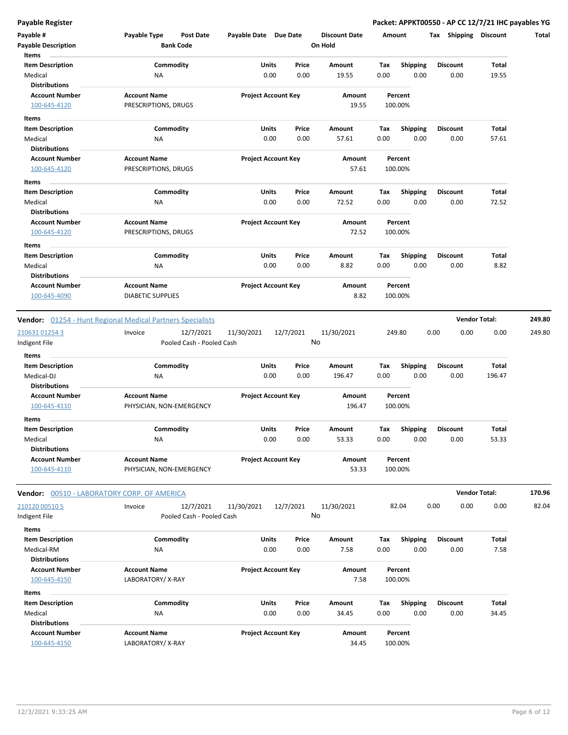| Payable #                                                  | Payable Type             | <b>Post Date</b>                       | Payable Date Due Date |                            |       | <b>Discount Date</b> | Amount |                    | Tax Shipping    | <b>Discount</b>      | Total  |
|------------------------------------------------------------|--------------------------|----------------------------------------|-----------------------|----------------------------|-------|----------------------|--------|--------------------|-----------------|----------------------|--------|
| <b>Payable Description</b>                                 |                          | <b>Bank Code</b>                       |                       |                            |       | On Hold              |        |                    |                 |                      |        |
| Items                                                      |                          |                                        |                       |                            |       |                      |        |                    |                 |                      |        |
| <b>Item Description</b>                                    |                          | Commodity                              |                       | Units                      | Price | <b>Amount</b>        | Tax    | Shipping           | <b>Discount</b> | Total                |        |
| Medical                                                    | ΝA                       |                                        |                       | 0.00                       | 0.00  | 19.55                | 0.00   | 0.00               | 0.00            | 19.55                |        |
| <b>Distributions</b>                                       |                          |                                        |                       |                            |       |                      |        |                    |                 |                      |        |
| <b>Account Number</b>                                      | <b>Account Name</b>      |                                        |                       | <b>Project Account Key</b> |       | Amount               |        | Percent            |                 |                      |        |
| 100-645-4120                                               | PRESCRIPTIONS, DRUGS     |                                        |                       |                            |       | 19.55                |        | 100.00%            |                 |                      |        |
| Items                                                      |                          |                                        |                       |                            |       |                      |        |                    |                 |                      |        |
| <b>Item Description</b>                                    |                          | Commodity                              |                       | Units                      | Price | Amount               | Tax    | Shipping           | <b>Discount</b> | Total                |        |
| Medical                                                    | NA                       |                                        |                       | 0.00                       | 0.00  | 57.61                | 0.00   | 0.00               | 0.00            | 57.61                |        |
| <b>Distributions</b>                                       |                          |                                        |                       |                            |       |                      |        |                    |                 |                      |        |
| <b>Account Number</b>                                      | <b>Account Name</b>      |                                        |                       | <b>Project Account Key</b> |       | Amount               |        | Percent            |                 |                      |        |
| 100-645-4120                                               | PRESCRIPTIONS, DRUGS     |                                        |                       |                            |       | 57.61                |        | 100.00%            |                 |                      |        |
| Items                                                      |                          |                                        |                       |                            |       |                      |        |                    |                 |                      |        |
| <b>Item Description</b>                                    |                          | Commodity                              |                       | <b>Units</b>               | Price | Amount               | Tax    | <b>Shipping</b>    | <b>Discount</b> | Total                |        |
| Medical                                                    | NA                       |                                        |                       | 0.00                       | 0.00  | 72.52                | 0.00   | 0.00               | 0.00            | 72.52                |        |
| <b>Distributions</b>                                       |                          |                                        |                       |                            |       |                      |        |                    |                 |                      |        |
| <b>Account Number</b>                                      | <b>Account Name</b>      |                                        |                       | <b>Project Account Key</b> |       | Amount               |        | Percent            |                 |                      |        |
| 100-645-4120                                               | PRESCRIPTIONS, DRUGS     |                                        |                       |                            |       | 72.52                |        | 100.00%            |                 |                      |        |
| Items                                                      |                          |                                        |                       |                            |       |                      |        |                    |                 |                      |        |
| <b>Item Description</b>                                    |                          | Commodity                              |                       | Units                      | Price | Amount               | Tax    | <b>Shipping</b>    | <b>Discount</b> | Total                |        |
| Medical                                                    | ΝA                       |                                        |                       | 0.00                       | 0.00  | 8.82                 | 0.00   | 0.00               | 0.00            | 8.82                 |        |
| <b>Distributions</b>                                       |                          |                                        |                       |                            |       |                      |        |                    |                 |                      |        |
| <b>Account Number</b>                                      | <b>Account Name</b>      |                                        |                       | <b>Project Account Key</b> |       | Amount               |        | Percent            |                 |                      |        |
| 100-645-4090                                               | <b>DIABETIC SUPPLIES</b> |                                        |                       |                            |       | 8.82                 |        | 100.00%            |                 |                      |        |
|                                                            |                          |                                        |                       |                            |       |                      |        |                    |                 |                      |        |
| Vendor: 01254 - Hunt Regional Medical Partners Specialists |                          |                                        |                       |                            |       |                      |        |                    |                 | <b>Vendor Total:</b> | 249.80 |
|                                                            | Invoice                  |                                        |                       | 12/7/2021                  |       | 11/30/2021           |        | 249.80             | 0.00            | 0.00                 | 249.80 |
| 210631 01254 3<br>Indigent File                            |                          | 12/7/2021<br>Pooled Cash - Pooled Cash | 11/30/2021            |                            |       | No                   |        |                    | 0.00            |                      |        |
|                                                            |                          |                                        |                       |                            |       |                      |        |                    |                 |                      |        |
| Items                                                      |                          |                                        |                       |                            |       |                      |        |                    |                 |                      |        |
| <b>Item Description</b>                                    |                          | Commodity                              |                       | Units                      | Price | Amount               | Tax    | <b>Shipping</b>    | <b>Discount</b> | Total                |        |
| Medical-DJ                                                 | ΝA                       |                                        |                       | 0.00                       | 0.00  | 196.47               | 0.00   | 0.00               | 0.00            | 196.47               |        |
| <b>Distributions</b>                                       |                          |                                        |                       |                            |       |                      |        |                    |                 |                      |        |
| <b>Account Number</b>                                      | <b>Account Name</b>      |                                        |                       | <b>Project Account Key</b> |       | Amount<br>196.47     |        | Percent<br>100.00% |                 |                      |        |
| 100-645-4110                                               | PHYSICIAN, NON-EMERGENCY |                                        |                       |                            |       |                      |        |                    |                 |                      |        |
| Items                                                      |                          |                                        |                       |                            |       |                      |        |                    |                 |                      |        |
| <b>Item Description</b>                                    |                          | Commodity                              |                       | Units                      | Price | Amount               | Tax    | <b>Shipping</b>    | <b>Discount</b> | Total                |        |
| Medical                                                    | <b>NA</b>                |                                        |                       | 0.00                       | 0.00  | 53.33                | 0.00   | 0.00               | 0.00            | 53.33                |        |
| <b>Distributions</b>                                       |                          |                                        |                       |                            |       |                      |        |                    |                 |                      |        |
| <b>Account Number</b>                                      | <b>Account Name</b>      |                                        |                       | <b>Project Account Key</b> |       | Amount               |        | Percent            |                 |                      |        |
| 100-645-4110                                               | PHYSICIAN, NON-EMERGENCY |                                        |                       |                            |       | 53.33                |        | 100.00%            |                 |                      |        |
|                                                            |                          |                                        |                       |                            |       |                      |        |                    |                 |                      |        |
| Vendor: 00510 - LABORATORY CORP. OF AMERICA                |                          |                                        |                       |                            |       |                      |        |                    |                 | <b>Vendor Total:</b> | 170.96 |
| 210120 00510 5                                             | Invoice                  | 12/7/2021                              | 11/30/2021            | 12/7/2021                  |       | 11/30/2021           |        | 82.04              | 0.00<br>0.00    | 0.00                 | 82.04  |
| Indigent File                                              |                          | Pooled Cash - Pooled Cash              |                       |                            |       | No                   |        |                    |                 |                      |        |
| Items                                                      |                          |                                        |                       |                            |       |                      |        |                    |                 |                      |        |
| <b>Item Description</b>                                    |                          | Commodity                              |                       | Units                      | Price | Amount               | Tax    | <b>Shipping</b>    | <b>Discount</b> | Total                |        |
| Medical-RM                                                 | ΝA                       |                                        |                       | 0.00                       | 0.00  | 7.58                 | 0.00   | 0.00               | 0.00            | 7.58                 |        |
| <b>Distributions</b>                                       |                          |                                        |                       |                            |       |                      |        |                    |                 |                      |        |
| <b>Account Number</b>                                      | <b>Account Name</b>      |                                        |                       | <b>Project Account Key</b> |       | Amount               |        | Percent            |                 |                      |        |
| 100-645-4150                                               | LABORATORY/X-RAY         |                                        |                       |                            |       | 7.58                 |        | 100.00%            |                 |                      |        |
| Items                                                      |                          |                                        |                       |                            |       |                      |        |                    |                 |                      |        |
| <b>Item Description</b>                                    |                          | Commodity                              |                       | Units                      | Price | Amount               | Тах    | <b>Shipping</b>    | <b>Discount</b> | Total                |        |
| Medical                                                    | NA                       |                                        |                       | 0.00                       | 0.00  | 34.45                | 0.00   | 0.00               | 0.00            | 34.45                |        |
| <b>Distributions</b>                                       |                          |                                        |                       |                            |       |                      |        |                    |                 |                      |        |
| <b>Account Number</b>                                      | <b>Account Name</b>      |                                        |                       | <b>Project Account Key</b> |       | Amount               |        | Percent            |                 |                      |        |
| 100-645-4150                                               | LABORATORY/X-RAY         |                                        |                       |                            |       | 34.45                |        | 100.00%            |                 |                      |        |
|                                                            |                          |                                        |                       |                            |       |                      |        |                    |                 |                      |        |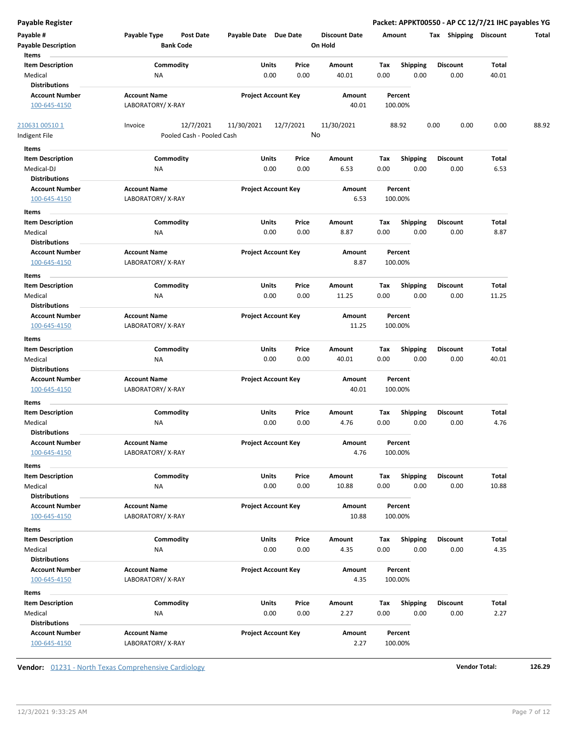| <b>Payable Register</b>    |                                  |                            |           |                      |      |                 | Packet: APPKT00550 - AP CC 12/7/21 IHC payables YG |       |       |
|----------------------------|----------------------------------|----------------------------|-----------|----------------------|------|-----------------|----------------------------------------------------|-------|-------|
| Payable #                  | Payable Type<br><b>Post Date</b> | Payable Date Due Date      |           | <b>Discount Date</b> |      | Amount          | Tax Shipping Discount                              |       | Total |
| <b>Payable Description</b> | <b>Bank Code</b>                 |                            |           | On Hold              |      |                 |                                                    |       |       |
| Items                      |                                  |                            |           |                      |      |                 |                                                    |       |       |
| <b>Item Description</b>    | Commodity                        | Units                      | Price     | Amount               | Tax  | <b>Shipping</b> | <b>Discount</b>                                    | Total |       |
| Medical                    | NA                               | 0.00                       | 0.00      | 40.01                | 0.00 | 0.00            | 0.00                                               | 40.01 |       |
| <b>Distributions</b>       |                                  |                            |           |                      |      |                 |                                                    |       |       |
| <b>Account Number</b>      | <b>Account Name</b>              | <b>Project Account Key</b> |           | Amount               |      | Percent         |                                                    |       |       |
| 100-645-4150               | LABORATORY/X-RAY                 |                            |           | 40.01                |      | 100.00%         |                                                    |       |       |
| 210631 00510 1             | 12/7/2021<br>Invoice             | 11/30/2021                 | 12/7/2021 | 11/30/2021           |      | 88.92           | 0.00<br>0.00                                       | 0.00  | 88.92 |
| Indigent File              | Pooled Cash - Pooled Cash        |                            |           | No                   |      |                 |                                                    |       |       |
| Items                      |                                  |                            |           |                      |      |                 |                                                    |       |       |
| <b>Item Description</b>    | Commodity                        | Units                      | Price     | Amount               | Tax  | <b>Shipping</b> | <b>Discount</b>                                    | Total |       |
| Medical-DJ                 | ΝA                               | 0.00                       | 0.00      | 6.53                 | 0.00 | 0.00            | 0.00                                               | 6.53  |       |
| <b>Distributions</b>       |                                  |                            |           |                      |      |                 |                                                    |       |       |
| <b>Account Number</b>      | <b>Account Name</b>              | <b>Project Account Key</b> |           | Amount               |      | Percent         |                                                    |       |       |
| 100-645-4150               | LABORATORY/X-RAY                 |                            |           | 6.53                 |      | 100.00%         |                                                    |       |       |
| Items                      |                                  |                            |           |                      |      |                 |                                                    |       |       |
| <b>Item Description</b>    | Commodity                        | Units                      | Price     | Amount               | Tax  | <b>Shipping</b> | <b>Discount</b>                                    | Total |       |
| Medical                    | ΝA                               | 0.00                       | 0.00      | 8.87                 | 0.00 | 0.00            | 0.00                                               | 8.87  |       |
| <b>Distributions</b>       |                                  |                            |           |                      |      |                 |                                                    |       |       |
| <b>Account Number</b>      | <b>Account Name</b>              | <b>Project Account Key</b> |           | Amount               |      | Percent         |                                                    |       |       |
| 100-645-4150               | LABORATORY/X-RAY                 |                            |           | 8.87                 |      | 100.00%         |                                                    |       |       |
| Items                      |                                  |                            |           |                      |      |                 |                                                    |       |       |
| <b>Item Description</b>    | Commodity                        | Units                      | Price     | Amount               | Tax  | <b>Shipping</b> | <b>Discount</b>                                    | Total |       |
| Medical                    | NA                               | 0.00                       | 0.00      | 11.25                | 0.00 | 0.00            | 0.00                                               | 11.25 |       |
| <b>Distributions</b>       |                                  |                            |           |                      |      |                 |                                                    |       |       |
| <b>Account Number</b>      | <b>Account Name</b>              | <b>Project Account Key</b> |           | Amount               |      | Percent         |                                                    |       |       |
| 100-645-4150               | LABORATORY/X-RAY                 |                            |           | 11.25                |      | 100.00%         |                                                    |       |       |
| Items                      |                                  |                            |           |                      |      |                 |                                                    |       |       |
| <b>Item Description</b>    | Commodity                        | Units                      | Price     | Amount               | Tax  | <b>Shipping</b> | <b>Discount</b>                                    | Total |       |
| Medical                    | NA                               | 0.00                       | 0.00      | 40.01                | 0.00 | 0.00            | 0.00                                               | 40.01 |       |
| <b>Distributions</b>       |                                  |                            |           |                      |      |                 |                                                    |       |       |
| <b>Account Number</b>      | <b>Account Name</b>              | <b>Project Account Key</b> |           | Amount               |      | Percent         |                                                    |       |       |
| 100-645-4150               | LABORATORY/X-RAY                 |                            |           | 40.01                |      | 100.00%         |                                                    |       |       |
| Items                      |                                  |                            |           |                      |      |                 |                                                    |       |       |
| <b>Item Description</b>    | Commodity                        | Units                      | Price     | Amount               | Tax  | <b>Shipping</b> | <b>Discount</b>                                    | Total |       |
| Medical                    | ΝA                               | 0.00                       | 0.00      | 4.76                 | 0.00 | 0.00            | 0.00                                               | 4.76  |       |
| <b>Distributions</b>       |                                  |                            |           |                      |      |                 |                                                    |       |       |
| <b>Account Number</b>      | <b>Account Name</b>              | <b>Project Account Key</b> |           | Amount               |      | Percent         |                                                    |       |       |
| 100-645-4150               | LABORATORY/X-RAY                 |                            |           | 4.76                 |      | 100.00%         |                                                    |       |       |
| Items                      |                                  |                            |           |                      |      |                 |                                                    |       |       |
| <b>Item Description</b>    | Commodity                        | Units                      | Price     | Amount               | Tax  | <b>Shipping</b> | <b>Discount</b>                                    | Total |       |
| Medical                    | ΝA                               | 0.00                       | 0.00      | 10.88                | 0.00 | 0.00            | 0.00                                               | 10.88 |       |
| <b>Distributions</b>       |                                  |                            |           |                      |      |                 |                                                    |       |       |
| <b>Account Number</b>      | <b>Account Name</b>              | <b>Project Account Key</b> |           | Amount               |      | Percent         |                                                    |       |       |
| 100-645-4150               | LABORATORY/X-RAY                 |                            |           | 10.88                |      | 100.00%         |                                                    |       |       |
| Items                      |                                  |                            |           |                      |      |                 |                                                    |       |       |
| <b>Item Description</b>    | Commodity                        | Units                      | Price     | Amount               | Tax  | <b>Shipping</b> | <b>Discount</b>                                    | Total |       |
| Medical                    | ΝA                               | 0.00                       | 0.00      | 4.35                 | 0.00 | 0.00            | 0.00                                               | 4.35  |       |
| <b>Distributions</b>       |                                  |                            |           |                      |      |                 |                                                    |       |       |
| <b>Account Number</b>      | <b>Account Name</b>              | <b>Project Account Key</b> |           | Amount               |      | Percent         |                                                    |       |       |
| 100-645-4150               | LABORATORY/X-RAY                 |                            |           | 4.35                 |      | 100.00%         |                                                    |       |       |
| Items                      |                                  |                            |           |                      |      |                 |                                                    |       |       |
| <b>Item Description</b>    | Commodity                        | Units                      | Price     | Amount               | Tax  | <b>Shipping</b> | <b>Discount</b>                                    | Total |       |
| Medical                    | NA                               | 0.00                       | 0.00      | 2.27                 | 0.00 | 0.00            | 0.00                                               | 2.27  |       |
| <b>Distributions</b>       |                                  |                            |           |                      |      |                 |                                                    |       |       |
| <b>Account Number</b>      | <b>Account Name</b>              | <b>Project Account Key</b> |           | Amount               |      | Percent         |                                                    |       |       |
| 100-645-4150               | LABORATORY/X-RAY                 |                            |           | 2.27                 |      | 100.00%         |                                                    |       |       |
|                            |                                  |                            |           |                      |      |                 |                                                    |       |       |

**Vendor:** 01231 - North Texas Comprehensive Cardiology **Vendor Total: 126.29**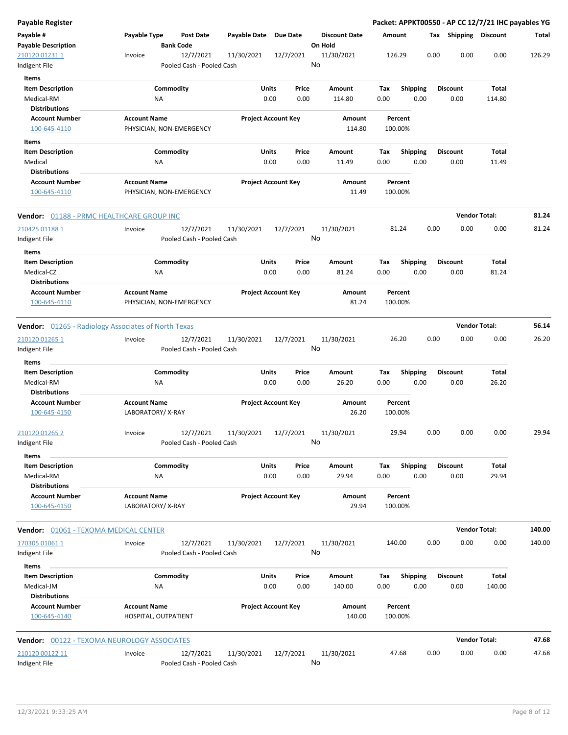| <b>Payable Register</b>                                       |                                         |                                        |              |                            |                                 |             |                         |      |                         | Packet: APPKT00550 - AP CC 12/7/21 IHC payables YG |        |
|---------------------------------------------------------------|-----------------------------------------|----------------------------------------|--------------|----------------------------|---------------------------------|-------------|-------------------------|------|-------------------------|----------------------------------------------------|--------|
| Payable #<br><b>Payable Description</b>                       | Payable Type                            | <b>Post Date</b><br><b>Bank Code</b>   | Payable Date | Due Date                   | <b>Discount Date</b><br>On Hold | Amount      |                         |      | Tax Shipping Discount   |                                                    | Total  |
| 210120 01231 1<br>Indigent File                               | Invoice                                 | 12/7/2021<br>Pooled Cash - Pooled Cash | 11/30/2021   | 12/7/2021                  | 11/30/2021<br>No                | 126.29      |                         | 0.00 | 0.00                    | 0.00                                               | 126.29 |
| Items                                                         |                                         |                                        |              |                            |                                 |             |                         |      |                         |                                                    |        |
| <b>Item Description</b><br>Medical-RM                         | ΝA                                      | Commodity                              | Units        | Price<br>0.00<br>0.00      | Amount<br>114.80                | Tax<br>0.00 | <b>Shipping</b><br>0.00 |      | <b>Discount</b><br>0.00 | <b>Total</b><br>114.80                             |        |
| <b>Distributions</b>                                          |                                         |                                        |              |                            |                                 |             |                         |      |                         |                                                    |        |
| <b>Account Number</b>                                         | <b>Account Name</b>                     |                                        |              | <b>Project Account Key</b> | <b>Amount</b>                   |             | Percent                 |      |                         |                                                    |        |
| 100-645-4110                                                  |                                         | PHYSICIAN, NON-EMERGENCY               |              |                            | 114.80                          | 100.00%     |                         |      |                         |                                                    |        |
| Items                                                         |                                         |                                        |              |                            |                                 |             |                         |      |                         |                                                    |        |
| <b>Item Description</b>                                       |                                         | Commodity                              | Units        | Price                      | Amount                          | Tax         | <b>Shipping</b>         |      | <b>Discount</b>         | Total                                              |        |
| Medical                                                       | NA                                      |                                        |              | 0.00<br>0.00               | 11.49                           | 0.00        | 0.00                    |      | 0.00                    | 11.49                                              |        |
| <b>Distributions</b>                                          |                                         |                                        |              |                            |                                 |             |                         |      |                         |                                                    |        |
| <b>Account Number</b><br>100-645-4110                         | <b>Account Name</b>                     | PHYSICIAN, NON-EMERGENCY               |              | <b>Project Account Key</b> | Amount<br>11.49                 | 100.00%     | Percent                 |      |                         |                                                    |        |
| <b>Vendor: 01188 - PRMC HEALTHCARE GROUP INC</b>              |                                         |                                        |              |                            |                                 |             |                         |      |                         | <b>Vendor Total:</b>                               | 81.24  |
| 210425 01188 1                                                | Invoice                                 | 12/7/2021                              | 11/30/2021   | 12/7/2021                  | 11/30/2021                      | 81.24       |                         | 0.00 | 0.00                    | 0.00                                               | 81.24  |
| Indigent File                                                 |                                         | Pooled Cash - Pooled Cash              |              |                            | No                              |             |                         |      |                         |                                                    |        |
| Items                                                         |                                         |                                        |              |                            |                                 |             |                         |      |                         |                                                    |        |
| <b>Item Description</b>                                       |                                         | Commodity                              | Units        | Price                      | Amount                          | Tax         | <b>Shipping</b>         |      | <b>Discount</b>         | Total                                              |        |
| Medical-CZ                                                    | NA                                      |                                        |              | 0.00<br>0.00               | 81.24                           | 0.00        | 0.00                    |      | 0.00                    | 81.24                                              |        |
| <b>Distributions</b>                                          |                                         |                                        |              |                            |                                 |             |                         |      |                         |                                                    |        |
| <b>Account Number</b><br>100-645-4110                         | <b>Account Name</b>                     | PHYSICIAN, NON-EMERGENCY               |              | <b>Project Account Key</b> | Amount<br>81.24                 | 100.00%     | Percent                 |      |                         |                                                    |        |
| <b>Vendor:</b> 01265 - Radiology Associates of North Texas    |                                         |                                        |              |                            |                                 |             |                         |      |                         | <b>Vendor Total:</b>                               | 56.14  |
| 210120 01265 1                                                | Invoice                                 | 12/7/2021                              | 11/30/2021   | 12/7/2021                  | 11/30/2021                      |             | 26.20                   | 0.00 | 0.00                    | 0.00                                               | 26.20  |
| Indigent File                                                 |                                         | Pooled Cash - Pooled Cash              |              |                            | No                              |             |                         |      |                         |                                                    |        |
| Items                                                         |                                         |                                        |              |                            |                                 |             |                         |      |                         |                                                    |        |
| <b>Item Description</b><br>Medical-RM<br><b>Distributions</b> | NA                                      | Commodity                              | Units        | Price<br>0.00<br>0.00      | Amount<br>26.20                 | Tax<br>0.00 | <b>Shipping</b><br>0.00 |      | <b>Discount</b><br>0.00 | Total<br>26.20                                     |        |
| <b>Account Number</b>                                         | <b>Account Name</b>                     |                                        |              | <b>Project Account Key</b> | Amount                          |             | Percent                 |      |                         |                                                    |        |
| 100-645-4150                                                  | LABORATORY/X-RAY                        |                                        |              |                            | 26.20                           | 100.00%     |                         |      |                         |                                                    |        |
| 210120 01265 2                                                | Invoice                                 | 12/7/2021                              | 11/30/2021   | 12/7/2021                  | 11/30/2021                      |             | 29.94                   | 0.00 | 0.00                    | 0.00                                               | 29.94  |
| Indigent File                                                 |                                         | Pooled Cash - Pooled Cash              |              |                            | No                              |             |                         |      |                         |                                                    |        |
| Items                                                         |                                         |                                        |              |                            |                                 |             |                         |      |                         |                                                    |        |
| <b>Item Description</b><br>Medical-RM                         | NA                                      | Commodity                              | Units        | Price<br>0.00<br>0.00      | Amount<br>29.94                 | Tax<br>0.00 | <b>Shipping</b><br>0.00 |      | <b>Discount</b><br>0.00 | Total<br>29.94                                     |        |
| <b>Distributions</b>                                          |                                         |                                        |              |                            |                                 |             |                         |      |                         |                                                    |        |
| <b>Account Number</b><br>100-645-4150                         | <b>Account Name</b><br>LABORATORY/X-RAY |                                        |              | <b>Project Account Key</b> | Amount<br>29.94                 | 100.00%     | Percent                 |      |                         |                                                    |        |
| <b>Vendor: 01061 - TEXOMA MEDICAL CENTER</b>                  |                                         |                                        |              |                            |                                 |             |                         |      |                         | <b>Vendor Total:</b>                               | 140.00 |
| 170305 01061 1                                                | Invoice                                 | 12/7/2021                              | 11/30/2021   | 12/7/2021                  | 11/30/2021                      | 140.00      |                         | 0.00 | 0.00                    | 0.00                                               | 140.00 |
| Indigent File                                                 |                                         | Pooled Cash - Pooled Cash              |              |                            | No                              |             |                         |      |                         |                                                    |        |
| Items                                                         |                                         |                                        |              |                            |                                 |             |                         |      |                         |                                                    |        |
| <b>Item Description</b><br>Medical-JM<br><b>Distributions</b> | NA                                      | Commodity                              | Units        | Price<br>0.00<br>0.00      | Amount<br>140.00                | Tax<br>0.00 | <b>Shipping</b><br>0.00 |      | <b>Discount</b><br>0.00 | Total<br>140.00                                    |        |
| <b>Account Number</b>                                         | <b>Account Name</b>                     |                                        |              | <b>Project Account Key</b> | Amount                          |             | Percent                 |      |                         |                                                    |        |
| 100-645-4140                                                  | HOSPITAL, OUTPATIENT                    |                                        |              |                            | 140.00                          | 100.00%     |                         |      |                         |                                                    |        |
| <b>Vendor: 00122 - TEXOMA NEUROLOGY ASSOCIATES</b>            |                                         |                                        |              |                            |                                 |             |                         |      |                         | <b>Vendor Total:</b>                               | 47.68  |
| 210120 00122 11                                               | Invoice                                 | 12/7/2021                              | 11/30/2021   | 12/7/2021                  | 11/30/2021                      |             | 47.68                   | 0.00 | 0.00                    | 0.00                                               | 47.68  |
| Indigent File                                                 |                                         | Pooled Cash - Pooled Cash              |              |                            | No                              |             |                         |      |                         |                                                    |        |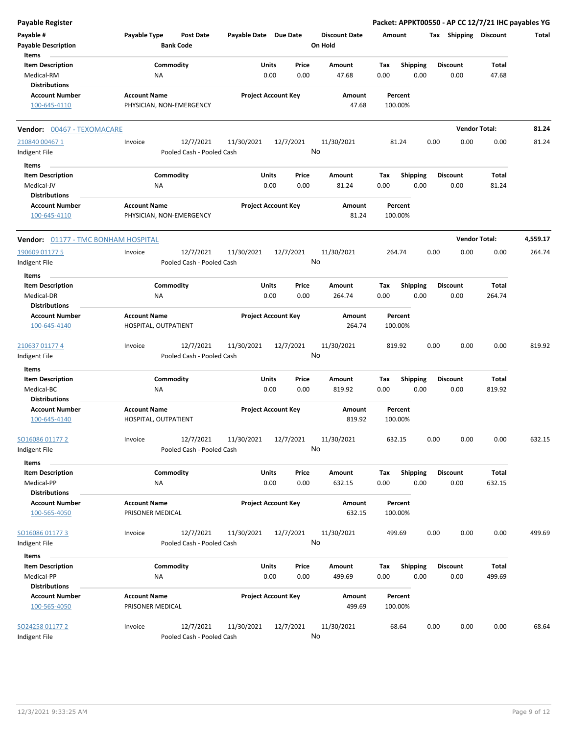| <b>Payable Register</b>                                                |                                                      |                                                      |                                |                                 | Packet: APPKT00550 - AP CC 12/7/21 IHC payables YG |                         |                        |          |
|------------------------------------------------------------------------|------------------------------------------------------|------------------------------------------------------|--------------------------------|---------------------------------|----------------------------------------------------|-------------------------|------------------------|----------|
| Payable #<br><b>Payable Description</b>                                | Payable Type<br><b>Post Date</b><br><b>Bank Code</b> | Payable Date Due Date                                |                                | <b>Discount Date</b><br>On Hold | Amount                                             | Tax Shipping Discount   |                        | Total    |
| Items<br><b>Item Description</b><br>Medical-RM<br><b>Distributions</b> | Commodity<br>NA                                      |                                                      | Units<br>Price<br>0.00<br>0.00 | Amount<br>47.68                 | <b>Shipping</b><br>Tax<br>0.00<br>0.00             | <b>Discount</b><br>0.00 | Total<br>47.68         |          |
| <b>Account Number</b><br>100-645-4110                                  | <b>Account Name</b><br>PHYSICIAN, NON-EMERGENCY      |                                                      | <b>Project Account Key</b>     | Amount<br>47.68                 | Percent<br>100.00%                                 |                         |                        |          |
| Vendor: 00467 - TEXOMACARE                                             |                                                      |                                                      |                                |                                 |                                                    |                         | <b>Vendor Total:</b>   | 81.24    |
| 210840 00467 1<br>Indigent File                                        | Invoice                                              | 12/7/2021<br>11/30/2021<br>Pooled Cash - Pooled Cash | 12/7/2021                      | 11/30/2021<br>No                | 81.24                                              | 0.00<br>0.00            | 0.00                   | 81.24    |
| Items<br><b>Item Description</b><br>Medical-JV<br><b>Distributions</b> | Commodity<br>ΝA                                      |                                                      | Units<br>Price<br>0.00<br>0.00 | Amount<br>81.24                 | <b>Shipping</b><br>Tax<br>0.00<br>0.00             | <b>Discount</b><br>0.00 | Total<br>81.24         |          |
| <b>Account Number</b><br>100-645-4110                                  | <b>Account Name</b><br>PHYSICIAN, NON-EMERGENCY      |                                                      | <b>Project Account Key</b>     | Amount<br>81.24                 | Percent<br>100.00%                                 |                         |                        |          |
| Vendor: 01177 - TMC BONHAM HOSPITAL                                    |                                                      |                                                      |                                |                                 |                                                    |                         | <b>Vendor Total:</b>   | 4,559.17 |
| 190609 01177 5<br>Indigent File                                        | Invoice                                              | 12/7/2021<br>11/30/2021<br>Pooled Cash - Pooled Cash | 12/7/2021                      | 11/30/2021<br>No                | 264.74                                             | 0.00<br>0.00            | 0.00                   | 264.74   |
| Items<br><b>Item Description</b><br>Medical-DR<br><b>Distributions</b> | Commodity<br>NA                                      |                                                      | Units<br>Price<br>0.00<br>0.00 | Amount<br>264.74                | Tax<br><b>Shipping</b><br>0.00<br>0.00             | <b>Discount</b><br>0.00 | Total<br>264.74        |          |
| <b>Account Number</b><br>100-645-4140                                  | <b>Account Name</b><br>HOSPITAL, OUTPATIENT          |                                                      | <b>Project Account Key</b>     | Amount<br>264.74                | Percent<br>100.00%                                 |                         |                        |          |
| 210637 01177 4<br>Indigent File                                        | Invoice                                              | 12/7/2021<br>11/30/2021<br>Pooled Cash - Pooled Cash | 12/7/2021                      | 11/30/2021<br>No                | 819.92                                             | 0.00<br>0.00            | 0.00                   | 819.92   |
| <b>Items</b>                                                           |                                                      |                                                      |                                |                                 |                                                    |                         |                        |          |
| <b>Item Description</b><br>Medical-BC<br><b>Distributions</b>          | Commodity<br>ΝA                                      |                                                      | Units<br>Price<br>0.00<br>0.00 | Amount<br>819.92                | <b>Shipping</b><br>Tax<br>0.00<br>0.00             | <b>Discount</b><br>0.00 | Total<br>819.92        |          |
| <b>Account Number</b><br>100-645-4140                                  | <b>Account Name</b><br>HOSPITAL, OUTPATIENT          |                                                      | <b>Project Account Key</b>     | Amount<br>819.92                | Percent<br>100.00%                                 |                         |                        |          |
| SO16086 01177 2<br>Indigent File                                       | Invoice                                              | 12/7/2021<br>11/30/2021<br>Pooled Cash - Pooled Cash | 12/7/2021                      | 11/30/2021<br>No                | 632.15                                             | 0.00<br>0.00            | 0.00                   | 632.15   |
| Items<br><b>Item Description</b><br>Medical-PP                         | Commodity<br>NA                                      |                                                      | Units<br>Price<br>0.00<br>0.00 | Amount<br>632.15                | Shipping<br>Tax<br>0.00<br>0.00                    | <b>Discount</b><br>0.00 | <b>Total</b><br>632.15 |          |
| <b>Distributions</b><br><b>Account Number</b><br>100-565-4050          | <b>Account Name</b><br>PRISONER MEDICAL              |                                                      | <b>Project Account Key</b>     | Amount<br>632.15                | Percent<br>100.00%                                 |                         |                        |          |
| SO16086 01177 3<br>Indigent File                                       | Invoice                                              | 12/7/2021<br>11/30/2021<br>Pooled Cash - Pooled Cash | 12/7/2021                      | 11/30/2021<br>No                | 499.69                                             | 0.00<br>0.00            | 0.00                   | 499.69   |
| Items                                                                  |                                                      |                                                      |                                |                                 |                                                    |                         |                        |          |
| <b>Item Description</b><br>Medical-PP<br><b>Distributions</b>          | Commodity<br>ΝA                                      |                                                      | Units<br>Price<br>0.00<br>0.00 | Amount<br>499.69                | <b>Shipping</b><br>Tax<br>0.00<br>0.00             | <b>Discount</b><br>0.00 | Total<br>499.69        |          |
| <b>Account Number</b><br>100-565-4050                                  | <b>Account Name</b><br>PRISONER MEDICAL              |                                                      | <b>Project Account Key</b>     | Amount<br>499.69                | Percent<br>100.00%                                 |                         |                        |          |
| SO24258 01177 2<br>Indigent File                                       | Invoice                                              | 12/7/2021<br>11/30/2021<br>Pooled Cash - Pooled Cash | 12/7/2021                      | 11/30/2021<br>No                | 68.64                                              | 0.00<br>0.00            | 0.00                   | 68.64    |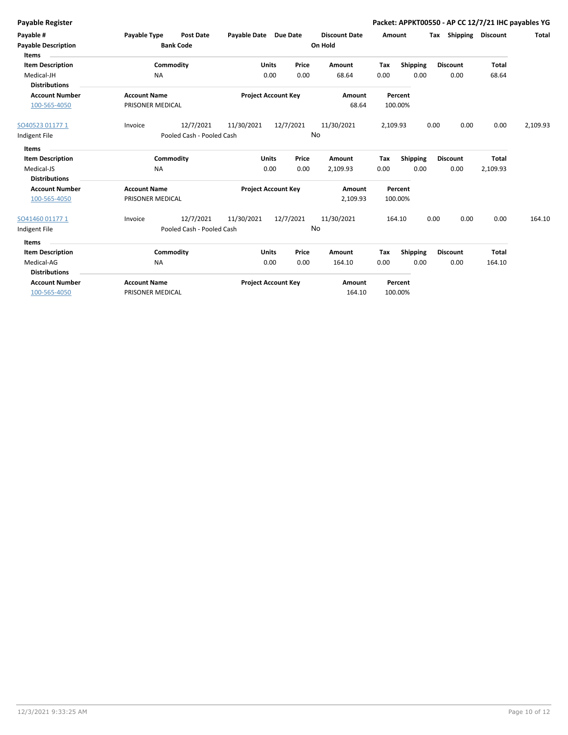|  | Payable Register |
|--|------------------|

| Payable #<br><b>Payable Description</b><br>Items                              | Payable Type<br><b>Post Date</b><br><b>Bank Code</b> |                                        | Payable Date Due Date<br>On Hold |                      | <b>Discount Date</b> | Amount             |             |                    | Tax Shipping | <b>Discount</b>         | Total                    |          |
|-------------------------------------------------------------------------------|------------------------------------------------------|----------------------------------------|----------------------------------|----------------------|----------------------|--------------------|-------------|--------------------|--------------|-------------------------|--------------------------|----------|
| <b>Item Description</b><br>Medical-JH<br><b>Distributions</b>                 | NA                                                   | Commodity                              |                                  | Units<br>0.00        | Price<br>0.00        | Amount<br>68.64    | Tax<br>0.00 | Shipping<br>0.00   |              | <b>Discount</b><br>0.00 | Total<br>68.64           |          |
| <b>Account Number</b><br>100-565-4050                                         | <b>Account Name</b><br>PRISONER MEDICAL              |                                        | <b>Project Account Key</b>       |                      |                      | Amount<br>68.64    |             | Percent<br>100.00% |              |                         |                          |          |
| SO40523 01177 1<br>Indigent File                                              | Invoice                                              | 12/7/2021<br>Pooled Cash - Pooled Cash | 11/30/2021                       | 12/7/2021            | No                   | 11/30/2021         | 2,109.93    |                    | 0.00         | 0.00                    | 0.00                     | 2,109.93 |
| Items<br><b>Item Description</b><br>Medical-JS<br><b>Distributions</b>        | <b>NA</b>                                            | Commodity                              |                                  | <b>Units</b><br>0.00 | Price<br>0.00        | Amount<br>2,109.93 | Tax<br>0.00 | Shipping<br>0.00   |              | <b>Discount</b><br>0.00 | <b>Total</b><br>2,109.93 |          |
| <b>Account Number</b><br>100-565-4050                                         | <b>Account Name</b><br>PRISONER MEDICAL              |                                        | <b>Project Account Key</b>       |                      |                      | Amount<br>2,109.93 |             | Percent<br>100.00% |              |                         |                          |          |
| SO41460 01177 1<br>Indigent File                                              | Invoice                                              | 12/7/2021<br>Pooled Cash - Pooled Cash | 11/30/2021                       | 12/7/2021            | No                   | 11/30/2021         |             | 164.10             | 0.00         | 0.00                    | 0.00                     | 164.10   |
| <b>Items</b><br><b>Item Description</b><br>Medical-AG<br><b>Distributions</b> | <b>NA</b>                                            | Commodity                              |                                  | Units<br>0.00        | Price<br>0.00        | Amount<br>164.10   | Tax<br>0.00 | Shipping<br>0.00   |              | <b>Discount</b><br>0.00 | <b>Total</b><br>164.10   |          |
| <b>Account Number</b><br>100-565-4050                                         | <b>Account Name</b><br>PRISONER MEDICAL              |                                        | <b>Project Account Key</b>       |                      |                      | Amount<br>164.10   |             | Percent<br>100.00% |              |                         |                          |          |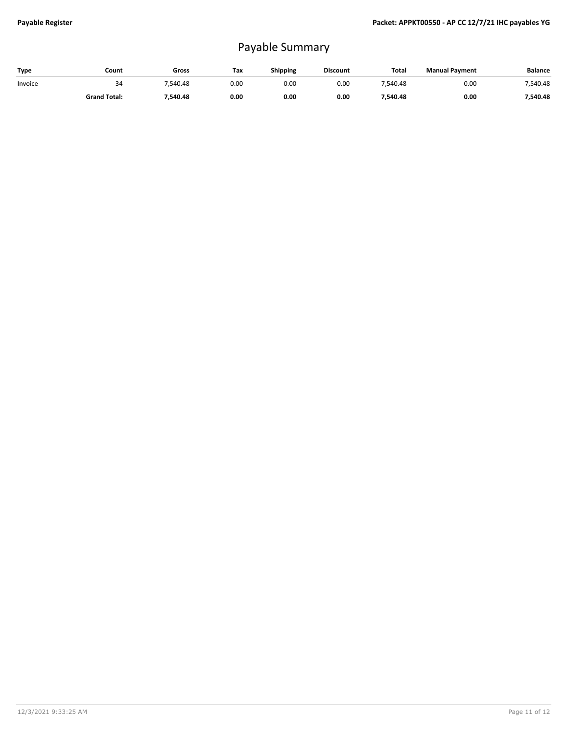## Payable Summary

| Type    | Count               | Gross    | Tax  | Shipping | <b>Discount</b> | Total    | <b>Manual Payment</b> | <b>Balance</b> |
|---------|---------------------|----------|------|----------|-----------------|----------|-----------------------|----------------|
| Invoice | 34                  | 540.48   | 0.00 | 0.00     | 0.00            | 7.540.48 | 0.00                  | 7.540.48       |
|         | <b>Grand Total:</b> | 7,540.48 | 0.00 | 0.00     | 0.00            | ',540.48 | 0.00                  | 7.540.48       |